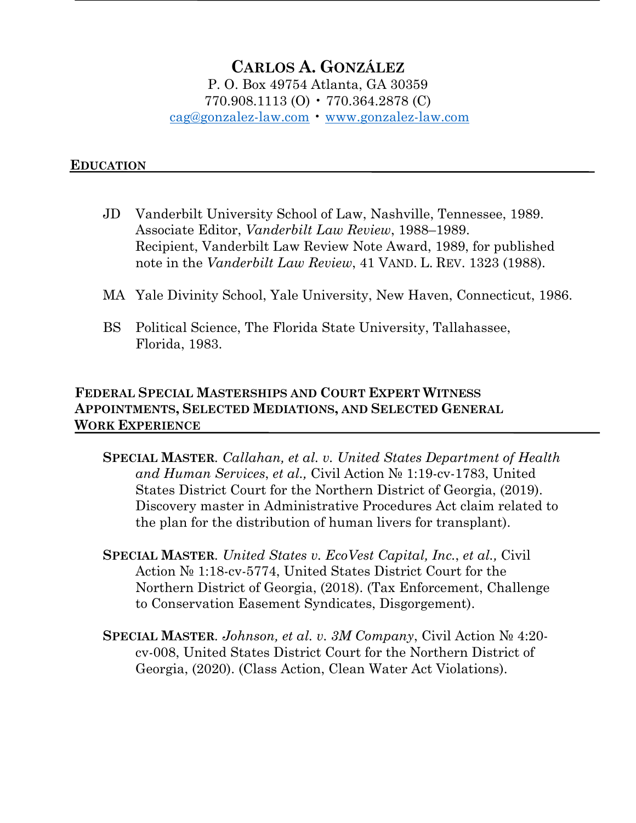# **CARLOS A. GONZÁLEZ** P. O. Box 49754 Atlanta, GA 30359 770.908.1113 (O) • 770.364.2878 (C) cag@gonzalez-law.com • www.gonzalez-law.com

#### **EDUCATION**

- JD Vanderbilt University School of Law, Nashville, Tennessee, 1989. Associate Editor, *Vanderbilt Law Review*, 1988–1989. Recipient, Vanderbilt Law Review Note Award, 1989, for published note in the *Vanderbilt Law Review*, 41 VAND. L. REV. 1323 (1988).
- MA Yale Divinity School, Yale University, New Haven, Connecticut, 1986.
- BS Political Science, The Florida State University, Tallahassee, Florida, 1983.

### **FEDERAL SPECIAL MASTERSHIPS AND COURT EXPERT WITNESS APPOINTMENTS, SELECTED MEDIATIONS, AND SELECTED GENERAL WORK EXPERIENCE**

- **SPECIAL MASTER***. Callahan, et al. v. United States Department of Health and Human Services*, *et al.,* Civil Action № 1:19-cv-1783, United States District Court for the Northern District of Georgia, (2019). Discovery master in Administrative Procedures Act claim related to the plan for the distribution of human livers for transplant).
- **SPECIAL MASTER***. United States v. EcoVest Capital, Inc.*, *et al.,* Civil Action № 1:18-cv-5774, United States District Court for the Northern District of Georgia, (2018). (Tax Enforcement, Challenge to Conservation Easement Syndicates, Disgorgement).
- **SPECIAL MASTER***. Johnson, et al. v. 3M Company*, Civil Action № 4:20 cv-008, United States District Court for the Northern District of Georgia, (2020). (Class Action, Clean Water Act Violations).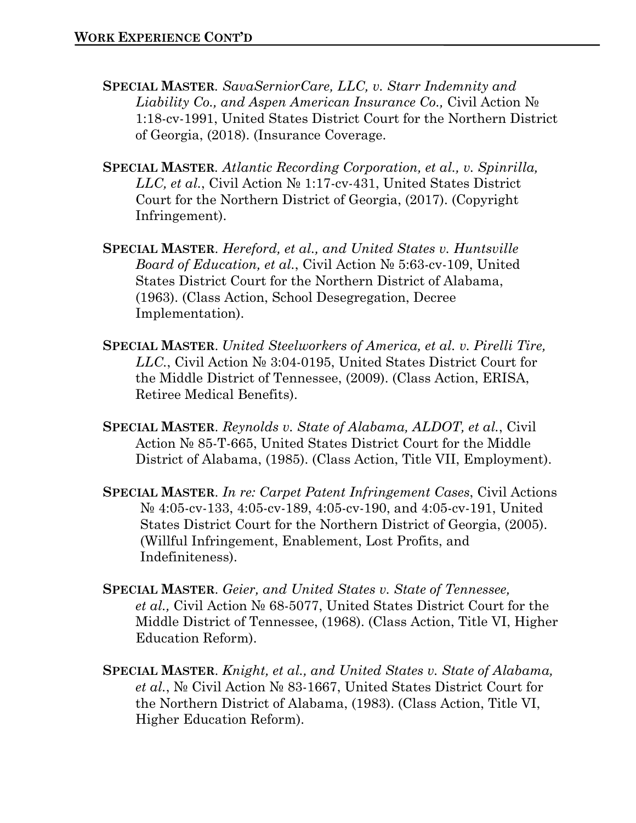- **SPECIAL MASTER***. SavaSerniorCare, LLC, v. Starr Indemnity and Liability Co., and Aspen American Insurance Co.,* Civil Action № 1:18-cv-1991, United States District Court for the Northern District of Georgia, (2018). (Insurance Coverage.
- **SPECIAL MASTER***. Atlantic Recording Corporation, et al., v. Spinrilla, LLC, et al.*, Civil Action № 1:17-cv-431, United States District Court for the Northern District of Georgia, (2017). (Copyright Infringement).
- **SPECIAL MASTER**. *Hereford, et al., and United States v. Huntsville Board of Education, et al.*, Civil Action № 5:63-cv-109, United States District Court for the Northern District of Alabama, (1963). (Class Action, School Desegregation, Decree Implementation).
- **SPECIAL MASTER**. *United Steelworkers of America, et al. v. Pirelli Tire, LLC.*, Civil Action № 3:04-0195, United States District Court for the Middle District of Tennessee, (2009). (Class Action, ERISA, Retiree Medical Benefits).
- **SPECIAL MASTER**. *Reynolds v. State of Alabama, ALDOT, et al.*, Civil Action № 85-T-665, United States District Court for the Middle District of Alabama, (1985). (Class Action, Title VII, Employment).
- **SPECIAL MASTER**. *In re: Carpet Patent Infringement Cases*, Civil Actions № 4:05-cv-133, 4:05-cv-189, 4:05-cv-190, and 4:05-cv-191, United States District Court for the Northern District of Georgia, (2005). (Willful Infringement, Enablement, Lost Profits, and Indefiniteness).
- **SPECIAL MASTER**. *Geier, and United States v. State of Tennessee, et al.,* Civil Action № 68-5077, United States District Court for the Middle District of Tennessee, (1968). (Class Action, Title VI, Higher Education Reform).
- **SPECIAL MASTER**. *Knight, et al., and United States v. State of Alabama, et al.*, № Civil Action № 83-1667, United States District Court for the Northern District of Alabama, (1983). (Class Action, Title VI, Higher Education Reform).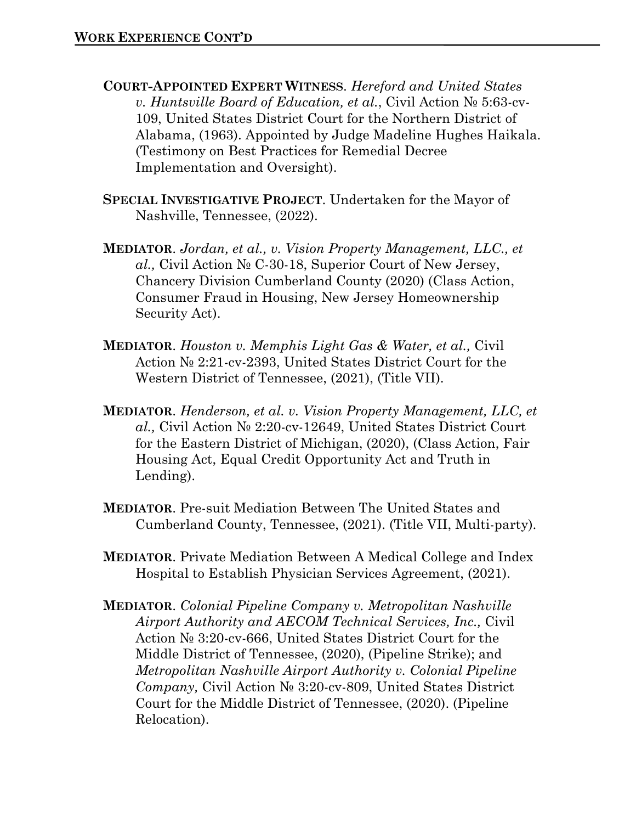- **COURT-APPOINTED EXPERT WITNESS**. *Hereford and United States v. Huntsville Board of Education, et al.*, Civil Action № 5:63-cv-109, United States District Court for the Northern District of Alabama, (1963). Appointed by Judge Madeline Hughes Haikala. (Testimony on Best Practices for Remedial Decree Implementation and Oversight).
- **SPECIAL INVESTIGATIVE PROJECT**. Undertaken for the Mayor of Nashville, Tennessee, (2022).
- **MEDIATOR**. *Jordan, et al., v. Vision Property Management, LLC., et al.,* Civil Action № C-30-18, Superior Court of New Jersey, Chancery Division Cumberland County (2020) (Class Action, Consumer Fraud in Housing, New Jersey Homeownership Security Act).
- **MEDIATOR**. *Houston v. Memphis Light Gas & Water, et al.,* Civil Action № 2:21-cv-2393, United States District Court for the Western District of Tennessee, (2021), (Title VII).
- **MEDIATOR**. *Henderson, et al. v. Vision Property Management, LLC, et al.,* Civil Action № 2:20-cv-12649, United States District Court for the Eastern District of Michigan, (2020), (Class Action, Fair Housing Act, Equal Credit Opportunity Act and Truth in Lending).
- **MEDIATOR**. Pre-suit Mediation Between The United States and Cumberland County, Tennessee, (2021). (Title VII, Multi-party).
- **MEDIATOR**. Private Mediation Between A Medical College and Index Hospital to Establish Physician Services Agreement, (2021).
- **MEDIATOR**. *Colonial Pipeline Company v. Metropolitan Nashville Airport Authority and AECOM Technical Services, Inc.,* Civil Action № 3:20-cv-666, United States District Court for the Middle District of Tennessee, (2020), (Pipeline Strike); and *Metropolitan Nashville Airport Authority v. Colonial Pipeline Company,* Civil Action № 3:20-cv-809, United States District Court for the Middle District of Tennessee, (2020). (Pipeline Relocation).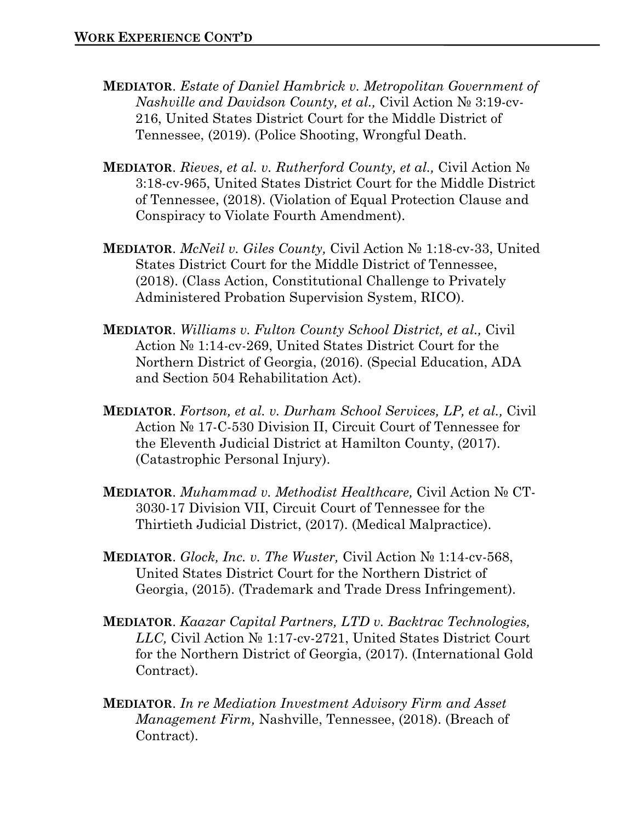- **MEDIATOR**. *Estate of Daniel Hambrick v. Metropolitan Government of Nashville and Davidson County, et al.,* Civil Action № 3:19-cv-216, United States District Court for the Middle District of Tennessee, (2019). (Police Shooting, Wrongful Death.
- **MEDIATOR**. *Rieves, et al. v. Rutherford County, et al.,* Civil Action № 3:18-cv-965, United States District Court for the Middle District of Tennessee, (2018). (Violation of Equal Protection Clause and Conspiracy to Violate Fourth Amendment).
- **MEDIATOR**. *McNeil v. Giles County,* Civil Action № 1:18-cv-33, United States District Court for the Middle District of Tennessee, (2018). (Class Action, Constitutional Challenge to Privately Administered Probation Supervision System, RICO).
- **MEDIATOR**. *Williams v. Fulton County School District, et al.,* Civil Action № 1:14-cv-269, United States District Court for the Northern District of Georgia, (2016). (Special Education, ADA and Section 504 Rehabilitation Act).
- **MEDIATOR**. *Fortson, et al. v. Durham School Services, LP, et al.,* Civil Action № 17-C-530 Division II, Circuit Court of Tennessee for the Eleventh Judicial District at Hamilton County, (2017). (Catastrophic Personal Injury).
- **MEDIATOR**. *Muhammad v. Methodist Healthcare,* Civil Action № CT-3030-17 Division VII, Circuit Court of Tennessee for the Thirtieth Judicial District, (2017). (Medical Malpractice).
- **MEDIATOR**. *Glock, Inc. v. The Wuster,* Civil Action № 1:14-cv-568, United States District Court for the Northern District of Georgia, (2015). (Trademark and Trade Dress Infringement).
- **MEDIATOR**. *Kaazar Capital Partners, LTD v. Backtrac Technologies, LLC,* Civil Action № 1:17-cv-2721, United States District Court for the Northern District of Georgia, (2017). (International Gold Contract).
- **MEDIATOR**. *In re Mediation Investment Advisory Firm and Asset Management Firm,* Nashville, Tennessee, (2018). (Breach of Contract).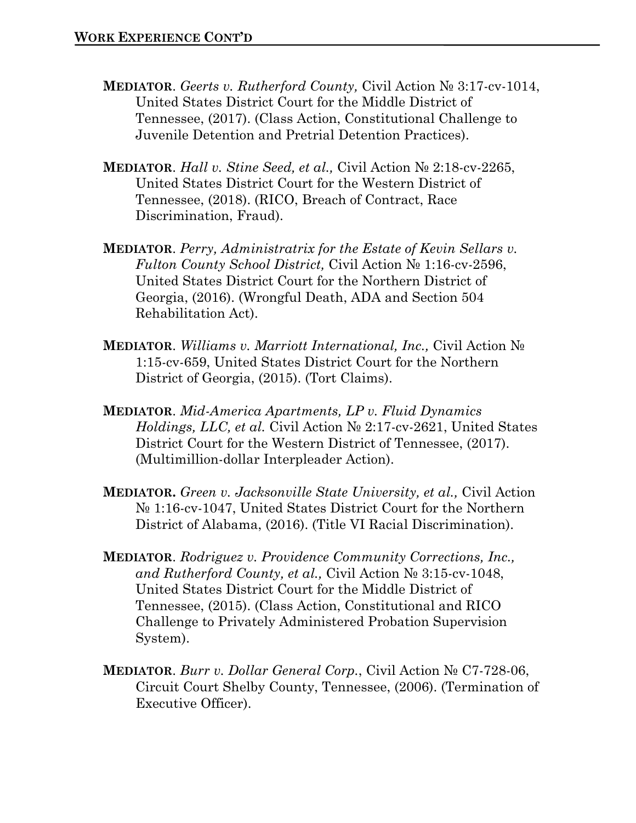- **MEDIATOR**. *Geerts v. Rutherford County,* Civil Action № 3:17-cv-1014, United States District Court for the Middle District of Tennessee, (2017). (Class Action, Constitutional Challenge to Juvenile Detention and Pretrial Detention Practices).
- **MEDIATOR**. *Hall v. Stine Seed, et al.,* Civil Action № 2:18-cv-2265, United States District Court for the Western District of Tennessee, (2018). (RICO, Breach of Contract, Race Discrimination, Fraud).
- **MEDIATOR**. *Perry, Administratrix for the Estate of Kevin Sellars v. Fulton County School District,* Civil Action № 1:16-cv-2596, United States District Court for the Northern District of Georgia, (2016). (Wrongful Death, ADA and Section 504 Rehabilitation Act).
- **MEDIATOR**. *Williams v. Marriott International, Inc.,* Civil Action № 1:15-cv-659, United States District Court for the Northern District of Georgia, (2015). (Tort Claims).
- **MEDIATOR**. *Mid-America Apartments, LP v. Fluid Dynamics Holdings, LLC, et al.* Civil Action № 2:17-cv-2621, United States District Court for the Western District of Tennessee, (2017). (Multimillion-dollar Interpleader Action).
- **MEDIATOR.** *Green v. Jacksonville State University, et al.,* Civil Action № 1:16-cv-1047, United States District Court for the Northern District of Alabama, (2016). (Title VI Racial Discrimination).
- **MEDIATOR**. *Rodriguez v. Providence Community Corrections, Inc., and Rutherford County, et al.,* Civil Action № 3:15-cv-1048, United States District Court for the Middle District of Tennessee, (2015). (Class Action, Constitutional and RICO Challenge to Privately Administered Probation Supervision System).
- **MEDIATOR**. *Burr v. Dollar General Corp.*, Civil Action № C7-728-06, Circuit Court Shelby County, Tennessee, (2006). (Termination of Executive Officer).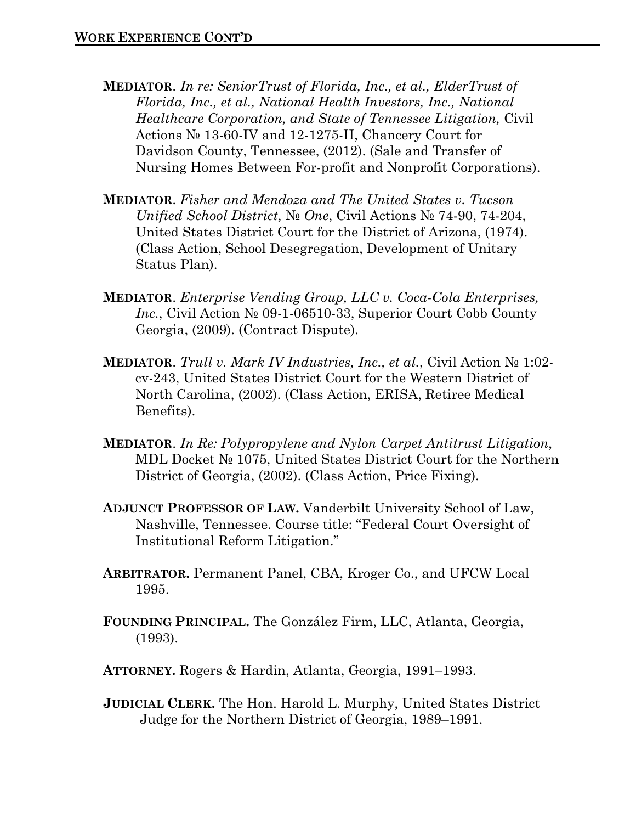- **MEDIATOR**. *In re: SeniorTrust of Florida, Inc., et al., ElderTrust of Florida, Inc., et al., National Health Investors, Inc., National Healthcare Corporation, and State of Tennessee Litigation,* Civil Actions № 13-60-IV and 12-1275-II, Chancery Court for Davidson County, Tennessee, (2012). (Sale and Transfer of Nursing Homes Between For-profit and Nonprofit Corporations).
- **MEDIATOR**. *Fisher and Mendoza and The United States v. Tucson Unified School District,* № *One*, Civil Actions № 74-90, 74-204, United States District Court for the District of Arizona, (1974). (Class Action, School Desegregation, Development of Unitary Status Plan).
- **MEDIATOR**. *Enterprise Vending Group, LLC v. Coca-Cola Enterprises, Inc.*, Civil Action № 09-1-06510-33, Superior Court Cobb County Georgia, (2009). (Contract Dispute).
- **MEDIATOR**. *Trull v. Mark IV Industries, Inc., et al.*, Civil Action № 1:02 cv-243, United States District Court for the Western District of North Carolina, (2002). (Class Action, ERISA, Retiree Medical Benefits).
- **MEDIATOR**. *In Re: Polypropylene and Nylon Carpet Antitrust Litigation*, MDL Docket № 1075, United States District Court for the Northern District of Georgia, (2002). (Class Action, Price Fixing).
- **ADJUNCT PROFESSOR OF LAW.** Vanderbilt University School of Law, Nashville, Tennessee. Course title: "Federal Court Oversight of Institutional Reform Litigation."
- **ARBITRATOR.** Permanent Panel, CBA, Kroger Co., and UFCW Local 1995.
- **FOUNDING PRINCIPAL.** The González Firm, LLC, Atlanta, Georgia, (1993).
- **ATTORNEY.** Rogers & Hardin, Atlanta, Georgia, 1991–1993.
- **JUDICIAL CLERK.** The Hon. Harold L. Murphy, United States District Judge for the Northern District of Georgia, 1989–1991.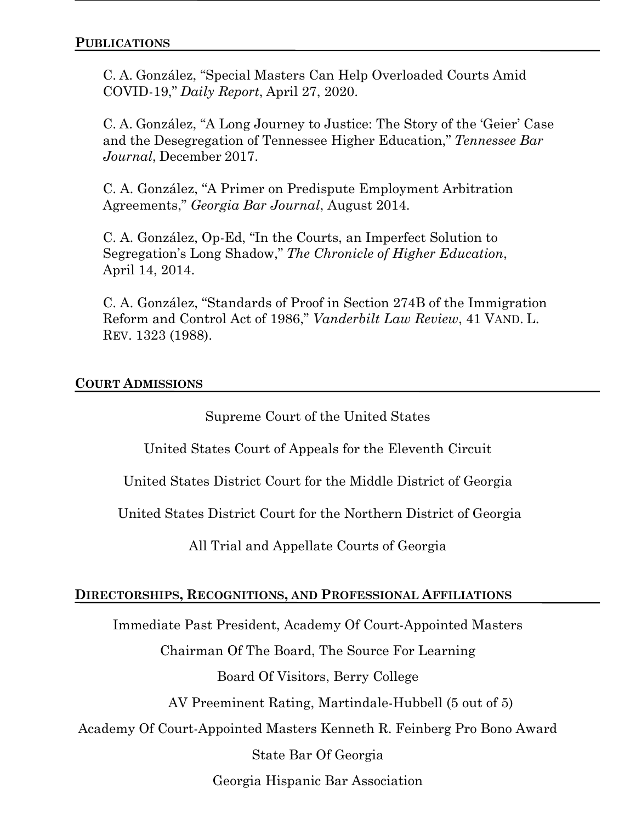C. A. González, "Special Masters Can Help Overloaded Courts Amid COVID-19," *Daily Report*, April 27, 2020.

C. A. González, "A Long Journey to Justice: The Story of the 'Geier' Case and the Desegregation of Tennessee Higher Education," *Tennessee Bar Journal*, December 2017.

C. A. González, "A Primer on Predispute Employment Arbitration Agreements," *Georgia Bar Journal*, August 2014.

C. A. González, Op-Ed, "In the Courts, an Imperfect Solution to Segregation's Long Shadow," *The Chronicle of Higher Education*, April 14, 2014.

C. A. González, "Standards of Proof in Section 274B of the Immigration Reform and Control Act of 1986," *Vanderbilt Law Review*, 41 VAND. L. REV. 1323 (1988).

## **COURT ADMISSIONS**

Supreme Court of the United States

United States Court of Appeals for the Eleventh Circuit

United States District Court for the Middle District of Georgia

United States District Court for the Northern District of Georgia

All Trial and Appellate Courts of Georgia

## **DIRECTORSHIPS, RECOGNITIONS, AND PROFESSIONAL AFFILIATIONS**

Immediate Past President, Academy Of Court-Appointed Masters

Chairman Of The Board, The Source For Learning

Board Of Visitors, Berry College

AV Preeminent Rating, Martindale-Hubbell (5 out of 5)

Academy Of Court-Appointed Masters Kenneth R. Feinberg Pro Bono Award

State Bar Of Georgia

Georgia Hispanic Bar Association